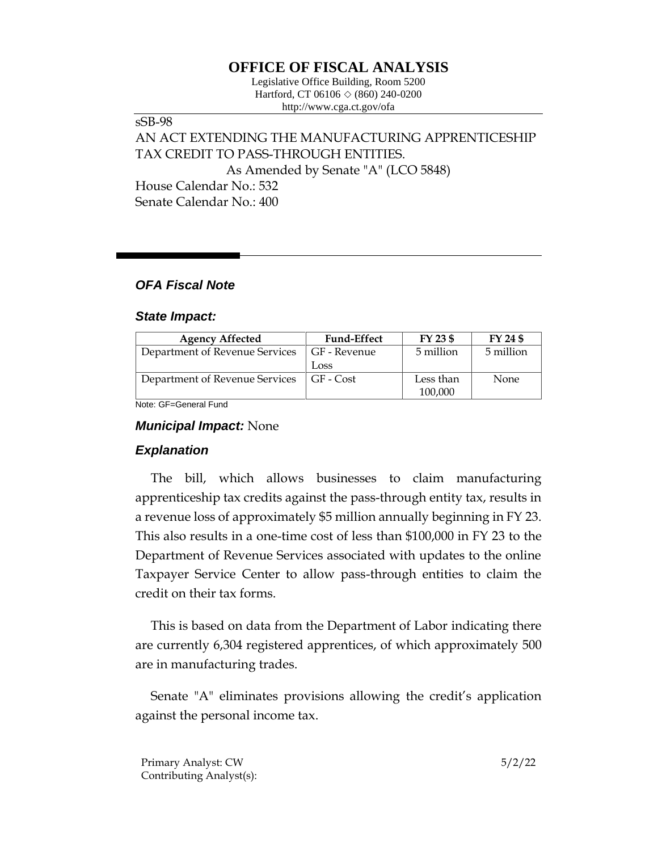# **OFFICE OF FISCAL ANALYSIS**

Legislative Office Building, Room 5200 Hartford, CT 06106  $\Diamond$  (860) 240-0200 http://www.cga.ct.gov/ofa

sSB-98 AN ACT EXTENDING THE MANUFACTURING APPRENTICESHIP TAX CREDIT TO PASS-THROUGH ENTITIES. As Amended by Senate "A" (LCO 5848) House Calendar No.: 532 Senate Calendar No.: 400

## *OFA Fiscal Note*

#### *State Impact:*

| <b>Agency Affected</b>         | <b>Fund-Effect</b> | $FY$ 23 \$ | FY 24 \$    |
|--------------------------------|--------------------|------------|-------------|
| Department of Revenue Services | GF - Revenue       | 5 million  | 5 million   |
|                                | Loss               |            |             |
| Department of Revenue Services | GF - Cost          | Less than  | <b>None</b> |
|                                |                    | 100,000    |             |

Note: GF=General Fund

#### *Municipal Impact:* None

### *Explanation*

The bill, which allows businesses to claim manufacturing apprenticeship tax credits against the pass-through entity tax, results in a revenue loss of approximately \$5 million annually beginning in FY 23. This also results in a one-time cost of less than \$100,000 in FY 23 to the Department of Revenue Services associated with updates to the online Taxpayer Service Center to allow pass-through entities to claim the credit on their tax forms.

This is based on data from the Department of Labor indicating there are currently 6,304 registered apprentices, of which approximately 500 are in manufacturing trades.

Senate "A" eliminates provisions allowing the credit's application against the personal income tax.